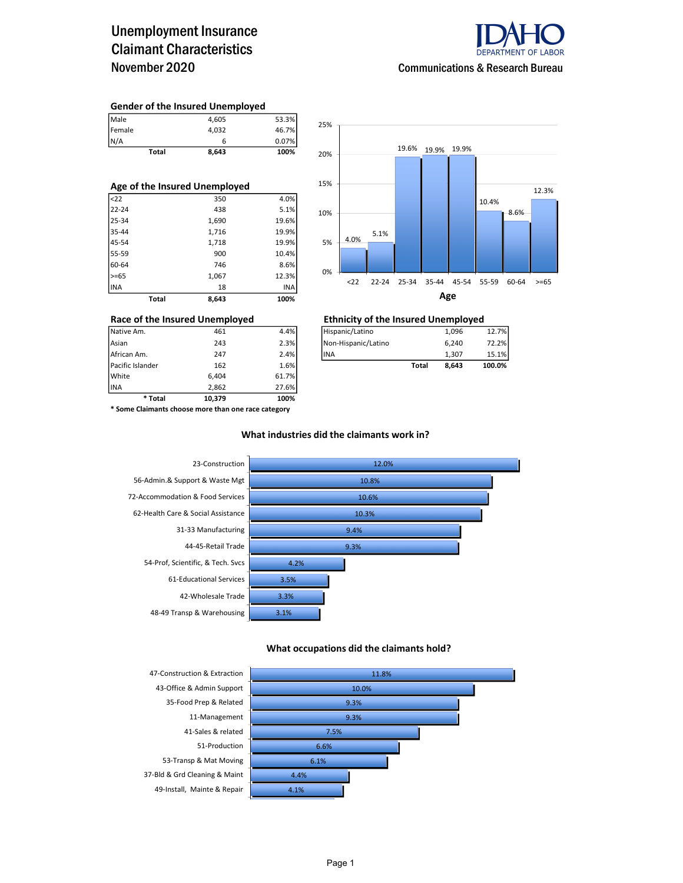## Unemployment Insurance Claimant Characteristics November 2020



#### Gender of the Insured Unemployed

| Male         | 4,605 | 53.3% |
|--------------|-------|-------|
| Female       | 4.032 | 46.7% |
| N/A          | 6     | 0.07% |
| <b>Total</b> | 8,643 | 100%  |

| Age of the Insured Unemployed |       |            |  |  |  |  |  |  |  |
|-------------------------------|-------|------------|--|--|--|--|--|--|--|
| $22$                          | 350   | 4.0%       |  |  |  |  |  |  |  |
| $22 - 24$                     | 438   | 5.1%       |  |  |  |  |  |  |  |
| $25 - 34$                     | 1,690 | 19.6%      |  |  |  |  |  |  |  |
| 35-44                         | 1,716 | 19.9%      |  |  |  |  |  |  |  |
| 45-54                         | 1,718 | 19.9%      |  |  |  |  |  |  |  |
| 55-59                         | 900   | 10.4%      |  |  |  |  |  |  |  |
| 60-64                         | 746   | 8.6%       |  |  |  |  |  |  |  |
| $>= 65$                       | 1,067 | 12.3%      |  |  |  |  |  |  |  |
| IINA                          | 18    | <b>INA</b> |  |  |  |  |  |  |  |
| Total                         | 8.643 | 100%       |  |  |  |  |  |  |  |



| * Total          | 10.379 | 100%  |                     |              |       |        |
|------------------|--------|-------|---------------------|--------------|-------|--------|
| <b>INA</b>       | 2.862  | 27.6% |                     |              |       |        |
| White            | 6.404  | 61.7% |                     |              |       |        |
| Pacific Islander | 162    | 1.6%  |                     | <b>Total</b> | 8,643 | 100.0% |
| African Am.      | 247    | 2.4%  | lina                |              | 1.307 | 15.1%  |
| Asian            | 243    | 2.3%  | Non-Hispanic/Latino |              | 6,240 | 72.2%  |
| Native Am.       | 461    | 4.4%  | Hispanic/Latino     |              | 1,096 | 12.7%  |

#### Race of the Insured Unemployed Ethnicity of the Insured Unemployed

| Native Am.       | 461 | 4.4%   | Hispanic/Latino     |       | 1,096 | 12.7%  |
|------------------|-----|--------|---------------------|-------|-------|--------|
| Asian            | 243 | 2.3%   | Non-Hispanic/Latino |       | 6.240 | 72.2%1 |
| African Am.      | 247 | 2.4%   | lina                |       | 1.307 | 15.1%  |
| Pacific Islander | 162 | 1.6% l |                     | Total | 8,643 | 100.0% |

\* Some Claimants choose more than one race category

### What industries did the claimants work in?



#### What occupations did the claimants hold?

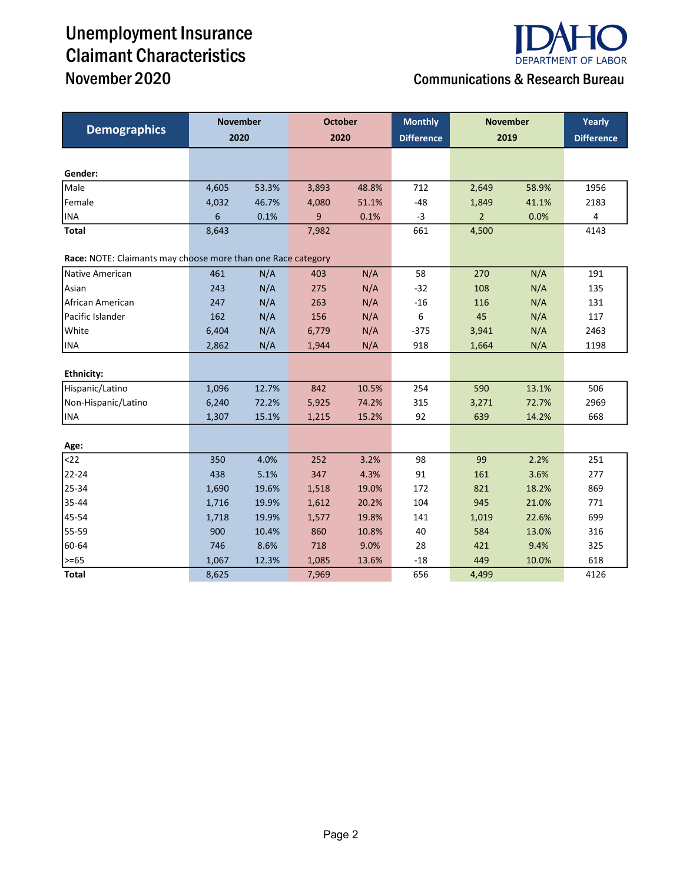# Unemployment Insurance Claimant Characteristics



## November 2020 Communications & Research Bureau

|                                                              | <b>November</b> |       | <b>October</b> |       | <b>Monthly</b>    | <b>November</b> |       | Yearly |  |
|--------------------------------------------------------------|-----------------|-------|----------------|-------|-------------------|-----------------|-------|--------|--|
| <b>Demographics</b>                                          | 2020            |       | 2020           |       | <b>Difference</b> |                 | 2019  |        |  |
|                                                              |                 |       |                |       |                   |                 |       |        |  |
| Gender:                                                      |                 |       |                |       |                   |                 |       |        |  |
| Male                                                         | 4,605           | 53.3% | 3,893          | 48.8% | 712               | 2,649           | 58.9% | 1956   |  |
| Female                                                       | 4,032           | 46.7% | 4,080          | 51.1% | $-48$             | 1,849           | 41.1% | 2183   |  |
| <b>INA</b>                                                   | 6               | 0.1%  | 9              | 0.1%  | $-3$              | $\overline{2}$  | 0.0%  | 4      |  |
| <b>Total</b>                                                 | 8,643           |       | 7,982          |       | 661               | 4,500           |       | 4143   |  |
| Race: NOTE: Claimants may choose more than one Race category |                 |       |                |       |                   |                 |       |        |  |
| Native American                                              | 461             | N/A   | 403            | N/A   | 58                | 270             | N/A   | 191    |  |
| Asian                                                        | 243             | N/A   | 275            | N/A   | $-32$             | 108             | N/A   | 135    |  |
| African American                                             | 247             | N/A   | 263            | N/A   | $-16$             | 116             | N/A   | 131    |  |
| Pacific Islander                                             | 162             | N/A   | 156            | N/A   | 6                 | 45              | N/A   | 117    |  |
| White                                                        | 6,404           | N/A   | 6,779          | N/A   | $-375$            | 3,941           | N/A   | 2463   |  |
| <b>INA</b>                                                   | 2,862           | N/A   | 1,944          | N/A   | 918               | 1,664           | N/A   | 1198   |  |
|                                                              |                 |       |                |       |                   |                 |       |        |  |
| <b>Ethnicity:</b>                                            |                 |       |                |       |                   |                 |       |        |  |
| Hispanic/Latino                                              | 1,096           | 12.7% | 842            | 10.5% | 254               | 590             | 13.1% | 506    |  |
| Non-Hispanic/Latino                                          | 6,240           | 72.2% | 5,925          | 74.2% | 315               | 3,271           | 72.7% | 2969   |  |
| <b>INA</b>                                                   | 1,307           | 15.1% | 1,215          | 15.2% | 92                | 639             | 14.2% | 668    |  |
|                                                              |                 |       |                |       |                   |                 |       |        |  |
| Age:                                                         |                 |       |                |       |                   |                 |       |        |  |
| $22$                                                         | 350             | 4.0%  | 252            | 3.2%  | 98                | 99              | 2.2%  | 251    |  |
| 22-24                                                        | 438             | 5.1%  | 347            | 4.3%  | 91                | 161             | 3.6%  | 277    |  |
| 25-34                                                        | 1,690           | 19.6% | 1,518          | 19.0% | 172               | 821             | 18.2% | 869    |  |
| 35-44                                                        | 1,716           | 19.9% | 1,612          | 20.2% | 104               | 945             | 21.0% | 771    |  |
| 45-54                                                        | 1,718           | 19.9% | 1,577          | 19.8% | 141               | 1,019           | 22.6% | 699    |  |
| 55-59                                                        | 900             | 10.4% | 860            | 10.8% | 40                | 584             | 13.0% | 316    |  |
| 60-64                                                        | 746             | 8.6%  | 718            | 9.0%  | 28                | 421             | 9.4%  | 325    |  |
| $>= 65$                                                      | 1,067           | 12.3% | 1,085          | 13.6% | $-18$             | 449             | 10.0% | 618    |  |
| <b>Total</b>                                                 | 8,625           |       | 7,969          |       | 656               | 4,499           |       | 4126   |  |